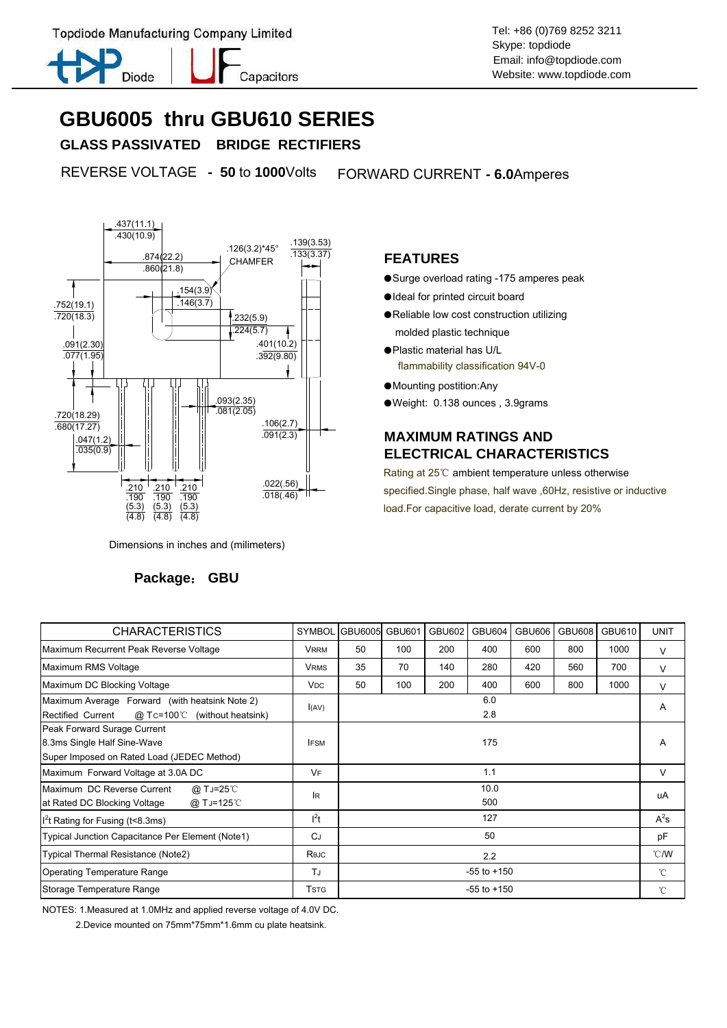Topdiode Manufacturing Company Limited Topdiode Manufacturing Company Limited



Capacitors

Skype: topdiode Email: info@topdiode.com Website: www.topdiode.com

## **GBU6005 thru GBU610 SERIES**

 **GLASS PASSIVATED BRIDGE RECTIFIERS**

REVERSE VOLTAGE **- 50** to **1000**Volts FORWARD CURRENT **- 6.0**Amperes



Dimensions in inches and (milimeters)

#### **Package**: **GBU**

#### **FEATURES**

- Surge overload rating -175 amperes peak
- ●Ideal for printed circuit board
- ●Reliable low cost construction utilizing molded plastic technique
- ●Plastic material has U/L flammability classification 94V-0
- ●Mounting postition:Any
- ●Weight: 0.138 ounces , 3.9grams

### **MAXIMUM RATINGS AND ELECTRICAL CHARACTERISTICS**

Rating at 25℃ ambient temperature unless otherwise specified.Single phase, half wave ,60Hz, resistive or inductive load.For capacitive load, derate current by 20%

| <b>CHARACTERISTICS</b>                                                                                        | <b>SYMBOL</b>         | GBU6005 GBU601  |     | <b>GBU602</b> | <b>GBU604</b> | <b>GBU606</b> | <b>GBU608</b> | GBU610 | <b>UNIT</b>    |
|---------------------------------------------------------------------------------------------------------------|-----------------------|-----------------|-----|---------------|---------------|---------------|---------------|--------|----------------|
| Maximum Recurrent Peak Reverse Voltage                                                                        | <b>VRRM</b>           | 50              | 100 | 200           | 400           | 600           | 800           | 1000   | V              |
| Maximum RMS Voltage                                                                                           | <b>VRMS</b>           | 35              | 70  | 140           | 280           | 420           | 560           | 700    | $\vee$         |
| Maximum DC Blocking Voltage                                                                                   | <b>V<sub>DC</sub></b> | 50              | 100 | 200           | 400           | 600           | 800           | 1000   | $\vee$         |
| Maximum Average Forward (with heatsink Note 2)<br><b>Rectified Current</b><br>$@$ Tc=100°C (without heatsink) | I(AV)                 | 6.0<br>2.8      |     |               |               |               |               |        | A              |
| Peak Forward Surage Current<br>8.3ms Single Half Sine-Wave<br>Super Imposed on Rated Load (JEDEC Method)      | <b>IFSM</b>           | 175             |     |               |               |               |               |        | A              |
| Maximum Forward Voltage at 3.0A DC                                                                            | VF                    | 1.1             |     |               |               |               |               |        | V              |
| Maximum DC Reverse Current<br>@ T J=25℃<br>at Rated DC Blocking Voltage<br>@ TJ=125°C                         | <b>IR</b>             | 10.0<br>500     |     |               |               |               |               |        | uA             |
| $I2t$ Rating for Fusing (t<8.3ms)                                                                             | $l^2t$                | 127             |     |               |               |               |               |        | $A^2s$         |
| Typical Junction Capacitance Per Element (Note1)                                                              | <b>CJ</b>             | 50              |     |               |               |               |               |        | pF             |
| Typical Thermal Resistance (Note2)                                                                            | Rejc                  | 2.2             |     |               |               |               |               |        | $^{\circ}$ C/W |
| <b>Operating Temperature Range</b>                                                                            | TJ                    | $-55$ to $+150$ |     |               |               |               |               |        | $^{\circ}$ C   |
| Storage Temperature Range                                                                                     | <b>T</b> stg          | $-55$ to $+150$ |     |               |               |               |               |        | °C             |

NOTES: 1.Measured at 1.0MHz and applied reverse voltage of 4.0V DC.

2.Device mounted on 75mm\*75mm\*1.6mm cu plate heatsink.